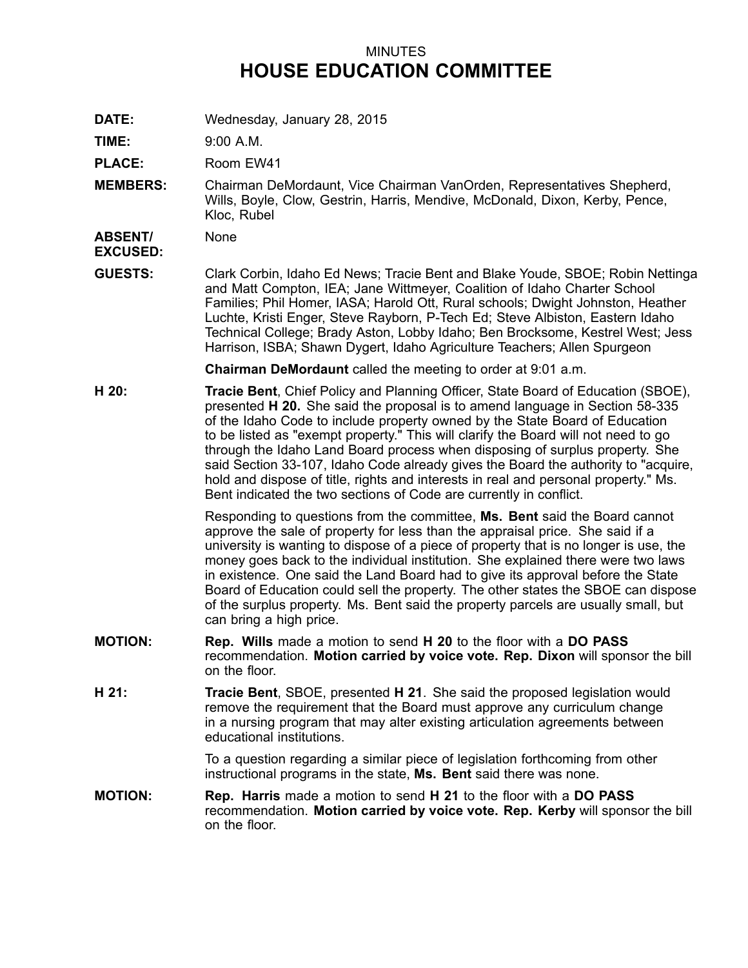## MINUTES **HOUSE EDUCATION COMMITTEE**

**DATE:** Wednesday, January 28, 2015

**TIME:** 9:00 A.M.

**PLACE:** Room EW41

**MEMBERS:** Chairman DeMordaunt, Vice Chairman VanOrden, Representatives Shepherd, Wills, Boyle, Clow, Gestrin, Harris, Mendive, McDonald, Dixon, Kerby, Pence, Kloc, Rubel

**ABSENT/** None

**EXCUSED:**

**GUESTS:** Clark Corbin, Idaho Ed News; Tracie Bent and Blake Youde, SBOE; Robin Nettinga and Matt Compton, IEA; Jane Wittmeyer, Coalition of Idaho Charter School Families; Phil Homer, IASA; Harold Ott, Rural schools; Dwight Johnston, Heather Luchte, Kristi Enger, Steve Rayborn, P-Tech Ed; Steve Albiston, Eastern Idaho Technical College; Brady Aston, Lobby Idaho; Ben Brocksome, Kestrel West; Jess Harrison, ISBA; Shawn Dygert, Idaho Agriculture Teachers; Allen Spurgeon

**Chairman DeMordaunt** called the meeting to order at 9:01 a.m.

**H 20: Tracie Bent**, Chief Policy and Planning Officer, State Board of Education (SBOE), presented **H 20.** She said the proposal is to amend language in Section 58-335 of the Idaho Code to include property owned by the State Board of Education to be listed as "exempt property." This will clarify the Board will not need to go through the Idaho Land Board process when disposing of surplus property. She said Section 33-107, Idaho Code already gives the Board the authority to "acquire, hold and dispose of title, rights and interests in real and personal property." Ms. Bent indicated the two sections of Code are currently in conflict.

> Responding to questions from the committee, **Ms. Bent** said the Board cannot approve the sale of property for less than the appraisal price. She said if <sup>a</sup> university is wanting to dispose of <sup>a</sup> piece of property that is no longer is use, the money goes back to the individual institution. She explained there were two laws in existence. One said the Land Board had to give its approval before the State Board of Education could sell the property. The other states the SBOE can dispose of the surplus property. Ms. Bent said the property parcels are usually small, but can bring <sup>a</sup> high price.

- **MOTION: Rep. Wills** made <sup>a</sup> motion to send **H 20** to the floor with <sup>a</sup> **DO PASS** recommendation. **Motion carried by voice vote. Rep. Dixon** will sponsor the bill on the floor.
- **H 21: Tracie Bent**, SBOE, presented **H 21**. She said the proposed legislation would remove the requirement that the Board must approve any curriculum change in <sup>a</sup> nursing program that may alter existing articulation agreements between educational institutions.

To <sup>a</sup> question regarding <sup>a</sup> similar piece of legislation forthcoming from other instructional programs in the state, **Ms. Bent** said there was none.

**MOTION: Rep. Harris** made <sup>a</sup> motion to send **H 21** to the floor with <sup>a</sup> **DO PASS** recommendation. **Motion carried by voice vote. Rep. Kerby** will sponsor the bill on the floor.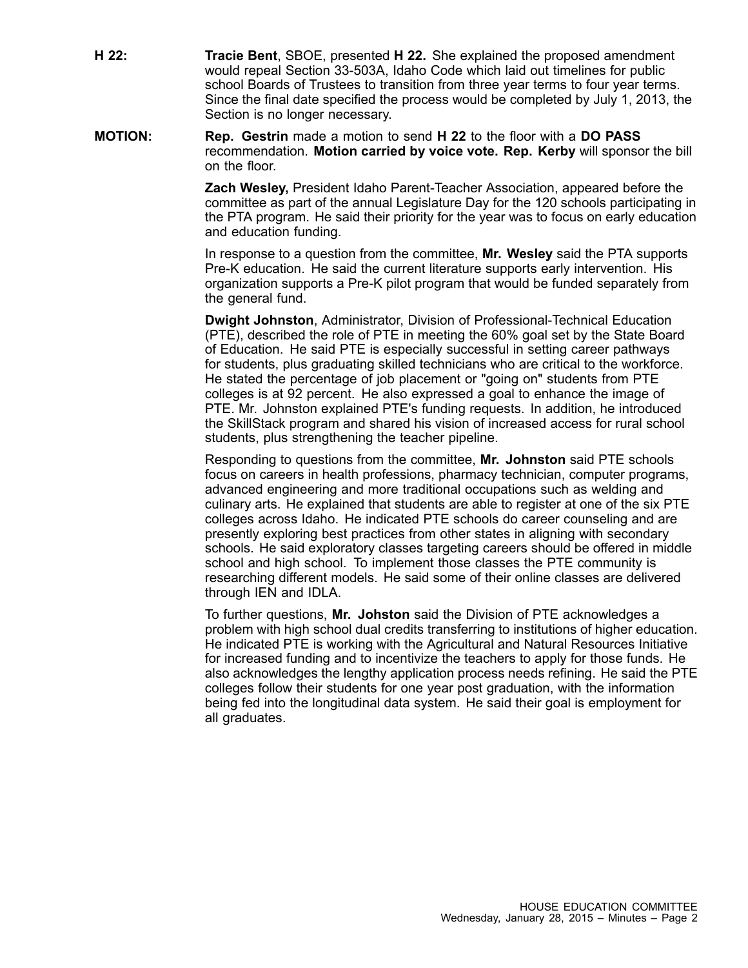**H 22: Tracie Bent**, SBOE, presented **H 22.** She explained the proposed amendment would repeal Section 33-503A, Idaho Code which laid out timelines for public school Boards of Trustees to transition from three year terms to four year terms. Since the final date specified the process would be completed by July 1, 2013, the Section is no longer necessary.

**MOTION: Rep. Gestrin** made <sup>a</sup> motion to send **H 22** to the floor with <sup>a</sup> **DO PASS** recommendation. **Motion carried by voice vote. Rep. Kerby** will sponsor the bill on the floor.

> **Zach Wesley,** President Idaho Parent-Teacher Association, appeared before the committee as part of the annual Legislature Day for the 120 schools participating in the PTA program. He said their priority for the year was to focus on early education and education funding.

In response to <sup>a</sup> question from the committee, **Mr. Wesley** said the PTA supports Pre-K education. He said the current literature supports early intervention. His organization supports <sup>a</sup> Pre-K pilot program that would be funded separately from the general fund.

**Dwight Johnston**, Administrator, Division of Professional-Technical Education (PTE), described the role of PTE in meeting the 60% goal set by the State Board of Education. He said PTE is especially successful in setting career pathways for students, plus graduating skilled technicians who are critical to the workforce. He stated the percentage of job placement or "going on" students from PTE colleges is at 92 percent. He also expressed <sup>a</sup> goal to enhance the image of PTE. Mr. Johnston explained PTE's funding requests. In addition, he introduced the SkillStack program and shared his vision of increased access for rural school students, plus strengthening the teacher pipeline.

Responding to questions from the committee, **Mr. Johnston** said PTE schools focus on careers in health professions, pharmacy technician, computer programs, advanced engineering and more traditional occupations such as welding and culinary arts. He explained that students are able to register at one of the six PTE colleges across Idaho. He indicated PTE schools do career counseling and are presently exploring best practices from other states in aligning with secondary schools. He said exploratory classes targeting careers should be offered in middle school and high school. To implement those classes the PTE community is researching different models. He said some of their online classes are delivered through IEN and IDLA.

To further questions, **Mr. Johston** said the Division of PTE acknowledges <sup>a</sup> problem with high school dual credits transferring to institutions of higher education. He indicated PTE is working with the Agricultural and Natural Resources Initiative for increased funding and to incentivize the teachers to apply for those funds. He also acknowledges the lengthy application process needs refining. He said the PTE colleges follow their students for one year post graduation, with the information being fed into the longitudinal data system. He said their goal is employment for all graduates.